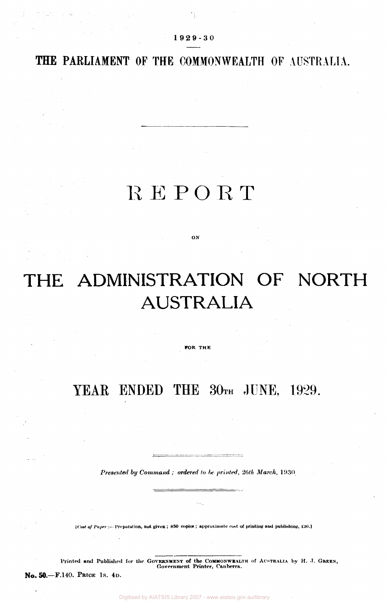#### 1 9 2 9-3 0

ΥÇ.

### **THE PARLIAMENT OF THE COMMONWEALTH OF AUSTRALIA.**

## REPOR T

**ON** 

# THE ADMINISTRATION OF NORTH AUSTRALIA

**FOR THE** 

## YEAR ENDED THE 30TH JUNE, 1929.

*Presented by Command ; ordered to be printed, 26th March,* 1930

**[Cost** *of Paper:***— Preparation, not given ; 850 copies ; approximate cost of printing and publishing, £30.]** 

Printed and Published for the GOVERNMENT of the COMMONWEALTH of AUSTRALIA by H. J. GREEN, **Government Printer, Canberra.** 

No. 50.—F.140. PRICE 1s. 4D.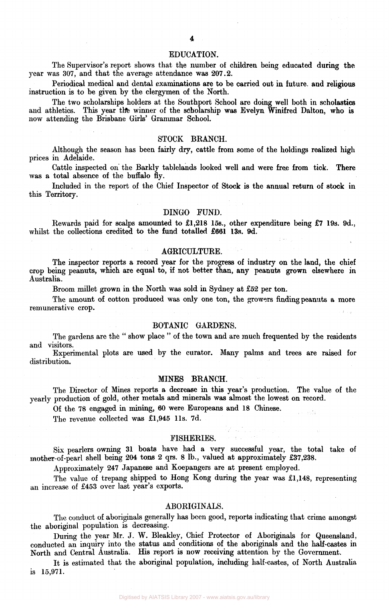#### EDUCATION.

The Supervisor's report shows that the number of children being educated during the year was 307, and that the average attendance was 207.2.

Periodical medical and dental examinations are to be carried out in future and religious instruction is to be given by the clergymen of the North.

The two scholarships holders at the Southport School are doing well both in scholastics and athletics. This year the winner of the scholarship was Evelyn Winifred Dalton, who is now attending the Brisbane Girls' Grammar School.

#### STOCK BRANCH.

Although the season has been fairly dry, cattle from some of the holdings realized high prices in Adelaide.

Cattle inspected on the Barkly tablelands looked well and were free from tick. There was a total absence of the buffalo fly.

Included in the report of the Chief Inspector of Stock is the annual return of stock in this Territory.

#### DINGO FUND.

Rewards paid for scalps amounted to £1,218 15s., other expenditure being £7 19s. 9d., whilst the collections credited to the fund totalled £661 13s. 9d.

#### AGRICULTURE.

The inspector reports a record year for the progress of industry on the land, the chief crop being peanuts, which are equal to, if not better than, any peanuts grown elsewhere in Australia.

Broom millet grown in the North was sold in Sydney at £52 per ton.

The amount of cotton produced was only one ton, the growers finding peanuts a more remunerative crop.

#### BOTANIC GARDENS.

The gardens are the " show place " of the town and are much frequented by the residents and visitors.

Experimental plots are used by the curator. Many palms and trees are raised for distribution.

#### MINES BRANCH.

The Director of Mines reports a decrease in this year's production. The value of the yearly production of gold, other metals and minerals was almost the lowest on record.

Of the 78 engaged in mining, 60 were Europeans and 18 Chinese.

The revenue collected was £1,945 11s. 7d.

#### FISHERIES.

Six pearlers owning 31 boats have had a very successful year, the total take of mother-of-pearl shell being 204 tons 2 qrs. 8 lb., valued at approximately £37,238.

Approximately 247 Japanese and Koepangers are at present employed.

The value of trepang shipped to Hong Kong during the year was £1,148, representing an increase of £453 over last year's exports.

#### ABORIGINALS.

The conduct of aboriginals generally has been good, reports indicating that crime amongst the aboriginal population is decreasing.

During the year Mr. J. W. Bleakley, Chief Protector of Aboriginals for Queensland, conducted an inquiry into the status and conditions of the aboriginals and the half-castes in North and Central Australia. His report is now receiving attention by the Government.

It is estimated that the aboriginal population, including half-castes, of North Australia is 15,971.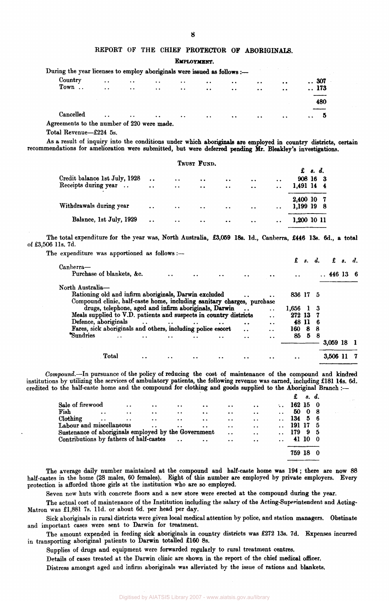#### REPORT OF THE CHIEF PROTECTOR OF ABORIGINALS.

EMPLOYMENT.

| During the year licenses to employ aboriginals were issued as follows :- |                         |                         |                      |                      |                      |                      |                  |                      |              |
|--------------------------------------------------------------------------|-------------------------|-------------------------|----------------------|----------------------|----------------------|----------------------|------------------|----------------------|--------------|
| Country                                                                  | $\ddot{\phantom{0}}$    | $\ddot{\phantom{1}}$    | $\ddot{\phantom{a}}$ | $\ddot{\phantom{0}}$ | $\ddot{\phantom{0}}$ | $\ddot{\phantom{1}}$ | $\bullet$        | $\bullet$ $\bullet$  | 307          |
| Town                                                                     | $\sim 100$ km s $^{-1}$ | $\sim 100$ km s $^{-1}$ | $\cdots$             | $\sim$ $\sim$        | $\sim$ 4 $\sim$      | $\ddotsc$            | $\ddot{\bullet}$ | $\ddot{\phantom{a}}$ | $\ldots$ 173 |
|                                                                          |                         |                         |                      |                      |                      |                      |                  |                      | 480          |
| Cancelled                                                                |                         | $\bullet$ $\bullet$     | $\bullet$            | $\ddot{\phantom{a}}$ | $\sim$               | $\ddot{\phantom{a}}$ | $\cdot$ $\cdot$  | $\sim$ $\sim$        |              |
| Agreements to the number of 220 were made.                               |                         |                         |                      |                      |                      |                      |                  |                      |              |

Total Revenue—£224 5s.

As a result of inquiry into the conditions under which aboriginals are employed in country districts, certain recommendations for amelioration were submitted, but were deferred pending Mr. Bleakley's investigations.

|                               |                      |                      | TRUST FUND.      |                      |                      |                      |             |                                         |  |
|-------------------------------|----------------------|----------------------|------------------|----------------------|----------------------|----------------------|-------------|-----------------------------------------|--|
|                               |                      |                      |                  |                      |                      |                      |             | $\mathbf f$ $\mathbf s$ , $\mathbf d$ , |  |
| Credit balance 1st July, 1928 | $\ddot{\phantom{a}}$ | $\bullet$ $\bullet$  | $\bullet$        | $\bullet$            | $\sim$ $\sim$        | $\ddot{\phantom{a}}$ | 908 16 3    |                                         |  |
| Receipts during year          | $\ddot{\phantom{a}}$ | $\ddot{\phantom{a}}$ | $\bullet\bullet$ | $\cdot$ .            | $\ddot{\phantom{a}}$ | $\ddot{\phantom{a}}$ | 1,491 14 4  |                                         |  |
|                               |                      |                      |                  |                      |                      |                      | 2,400 10 7  |                                         |  |
| Withdrawals during year       | $\bullet$            | $\bullet$ $\bullet$  | $\bullet$        | $\ddot{\phantom{0}}$ | $\cdot$ .            | $\sim$ $\sim$        | 1,199 19 8  |                                         |  |
| Balance, 1st July, 1929       | $\ddot{\bullet}$     | $\bullet$ $\bullet$  | $\bullet\bullet$ | $\bullet$ $\bullet$  | $\bullet$ $\bullet$  | $\bullet\bullet$     | 1,200 10 11 |                                         |  |

The total expenditure for the year was, North Australia, £3,059 18s. 1d., Canberra, £446 13s. 6d., a total of £3,506 l1s. 7d.

The expenditure was apportioned as follows :—

|                                                                        |                                                       |                                                                       |                      |                      |           |                      |                      |                      | $\mathbf{s}$ . | d.  |                     | $f$ $s$ $d$ . |  |
|------------------------------------------------------------------------|-------------------------------------------------------|-----------------------------------------------------------------------|----------------------|----------------------|-----------|----------------------|----------------------|----------------------|----------------|-----|---------------------|---------------|--|
| Canberra-<br>Purchase of blankets, &c.                                 |                                                       |                                                                       |                      | $\ddot{\phantom{0}}$ | $\bullet$ |                      |                      | $\ddot{\phantom{a}}$ |                |     | $\therefore$ 446 13 |               |  |
| North Australia-                                                       |                                                       |                                                                       |                      |                      |           |                      |                      |                      |                |     |                     |               |  |
| Rationing old and infirm aboriginals, Darwin excluded                  |                                                       |                                                                       |                      |                      |           |                      | $\ddot{\phantom{a}}$ | 836 17 5             |                |     |                     |               |  |
| Compound clinic, half-caste home, including sanitary charges, purchase |                                                       |                                                                       |                      |                      |           |                      |                      |                      |                |     |                     |               |  |
|                                                                        | drugs, telephone, aged and infirm aboriginals, Darwin |                                                                       |                      |                      |           |                      | . .                  | 1,656 1              |                | -3  |                     |               |  |
| Meals supplied to V.D. patients and suspects in country districts      |                                                       |                                                                       |                      |                      |           |                      | $\ddot{\phantom{a}}$ | 272 13               |                | 7   |                     |               |  |
| Defence, aboriginals                                                   |                                                       | $\bullet$ $\bullet$ $\bullet$ $\bullet$ $\bullet$ $\bullet$ $\bullet$ |                      | $\ddot{\phantom{a}}$ | $\bullet$ | $\cdot$ .            | $\ddot{\phantom{a}}$ | 48 11                |                | -6  |                     |               |  |
| Fares, sick aboriginals and others, including police escort            |                                                       |                                                                       |                      |                      |           | $\ddot{\phantom{a}}$ | $\blacksquare$       | 160                  | 8              | -8  |                     |               |  |
| Sundries                                                               | $\ddot{\phantom{0}}$                                  |                                                                       | $\ddot{\phantom{1}}$ |                      |           | . .                  | $\cdot$ .            | 85                   | 5              | - 8 |                     |               |  |
|                                                                        |                                                       |                                                                       |                      |                      |           |                      |                      |                      |                |     | 3,059 18            |               |  |
|                                                                        | Total                                                 |                                                                       |                      |                      |           |                      |                      |                      |                |     | 3.506               |               |  |

*Compound.—*-In pursuance of the policy of reducing the cost of maintenance of the compound and kindred institutions by utilizing the services of ambulatory patients, the following revenue was earned, including £181 14s. 6d. credited to the half-caste home and the compound for clothing and goods supplied to the Aboriginal Branch :—

|                                                      |                      |                      |                      |                      |                      |                      |                      |               | £      | s. d. |     |
|------------------------------------------------------|----------------------|----------------------|----------------------|----------------------|----------------------|----------------------|----------------------|---------------|--------|-------|-----|
| Sale of firewood                                     |                      | . .                  | $\ddot{\phantom{a}}$ | $\cdot \cdot$        | $\ddot{\phantom{a}}$ | $\ddot{\phantom{a}}$ | $\ddot{\phantom{a}}$ | $\sim$ $\sim$ | 162150 |       |     |
| Fish                                                 | $\ddot{\phantom{0}}$ | $\cdot$ $\cdot$      | $\bullet$            | $\ddot{\phantom{a}}$ | $\bullet$            | $\bullet$ $\bullet$  | $\ddotsc$            |               | 50     | - 0   | - 8 |
| Clothing                                             | $\ddot{\phantom{a}}$ | $\ddot{\phantom{0}}$ | $\ddot{\phantom{0}}$ | $\bullet$            | $\ddot{\phantom{a}}$ | $\bullet$            | $\ddot{\phantom{1}}$ |               | 134 5  |       | - 6 |
| Labour and miscellaneous                             |                      |                      | $\ddot{\phantom{0}}$ | $\ddot{\phantom{a}}$ | $\ddot{\bullet}$     | $\ddot{\phantom{a}}$ | $\ddot{\phantom{a}}$ |               | 191 17 |       | - 5 |
| Sustenance of aboriginals employed by the Government |                      |                      |                      |                      |                      | $\ddot{\phantom{a}}$ | $\ddot{\phantom{a}}$ |               | 179 9  |       | - 5 |
| Contributions by fathers of half-castes              |                      |                      |                      |                      |                      | $\ddot{\phantom{a}}$ | $\ddot{\phantom{a}}$ |               |        | 41 10 | - 0 |
|                                                      |                      |                      |                      |                      |                      |                      |                      |               | 759 18 |       |     |
|                                                      |                      |                      |                      |                      |                      |                      |                      |               |        |       |     |

The average daily number maintained at the compound and half-caste home was 194; there are now 88 half-castes in the home (28 males, 60 females). Eight of this number are employed by private employers. Every protection is afforded those girls at the institution who are so employed.

Seven new huts with concrete floors and a new store were erected at the compound during the year.

The actual cost of maintenance of the Institution including the salary of the Acting-Superintendent and Acting-Matron was £1,881 7s. l1d. or about 6d. per head per day.

Sick aboriginals in rural districts were given local medical attention by police, and station managers. Obstinate and important cases were sent to Darwin for treatment.

The amount expended in feeding sick aboriginals in country districts was £272 13s. 7d. Expenses incurred in transporting aboriginal patients to Darwin totalled £160 8s.

Supplies of drugs and equipment were forwarded regularly to rural treatment centres.

Details of cases treated at the Darwin clinic are shown in the report of the chief medical officer.

Distress amongst aged and infirm aboriginals was alleviated by the issue of rations and blankets.